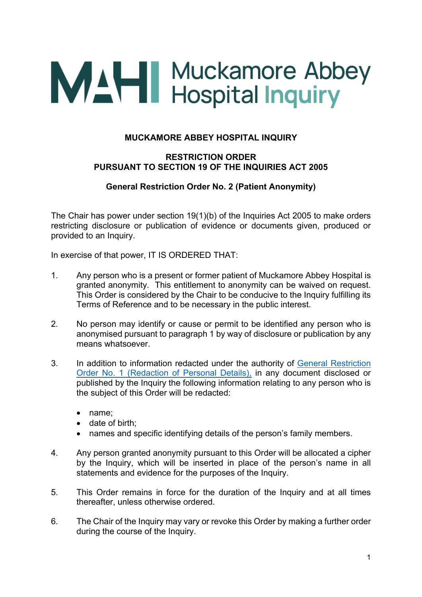## **MAH** Muckamore Abbey<br>
Hospital Inquiry

## **MUCKAMORE ABBEY HOSPITAL INQUIRY**

## **RESTRICTION ORDER PURSUANT TO SECTION 19 OF THE INQUIRIES ACT 2005**

## **General Restriction Order No. 2 (Patient Anonymity)**

The Chair has power under section 19(1)(b) of the Inquiries Act 2005 to make orders restricting disclosure or publication of evidence or documents given, produced or provided to an Inquiry.

In exercise of that power, IT IS ORDERED THAT:

- 1. Any person who is a present or former patient of Muckamore Abbey Hospital is granted anonymity. This entitlement to anonymity can be waived on request. This Order is considered by the Chair to be conducive to the Inquiry fulfilling its Terms of Reference and to be necessary in the public interest.
- 2. No person may identify or cause or permit to be identified any person who is anonymised pursuant to paragraph 1 by way of disclosure or publication by any means whatsoever.
- 3. In addition to information redacted under the authority of [General Restriction](https://www.mahinquiry.org.uk/publications/general-restriction-order-no1-redaction-personal-details)  [Order No. 1 \(Redaction of Personal Details\),](https://www.mahinquiry.org.uk/publications/general-restriction-order-no1-redaction-personal-details) in any document disclosed or published by the Inquiry the following information relating to any person who is the subject of this Order will be redacted:
	- name;
	- date of birth;
	- names and specific identifying details of the person's family members.
- 4. Any person granted anonymity pursuant to this Order will be allocated a cipher by the Inquiry, which will be inserted in place of the person's name in all statements and evidence for the purposes of the Inquiry.
- 5. This Order remains in force for the duration of the Inquiry and at all times thereafter, unless otherwise ordered.
- 6. The Chair of the Inquiry may vary or revoke this Order by making a further order during the course of the Inquiry.